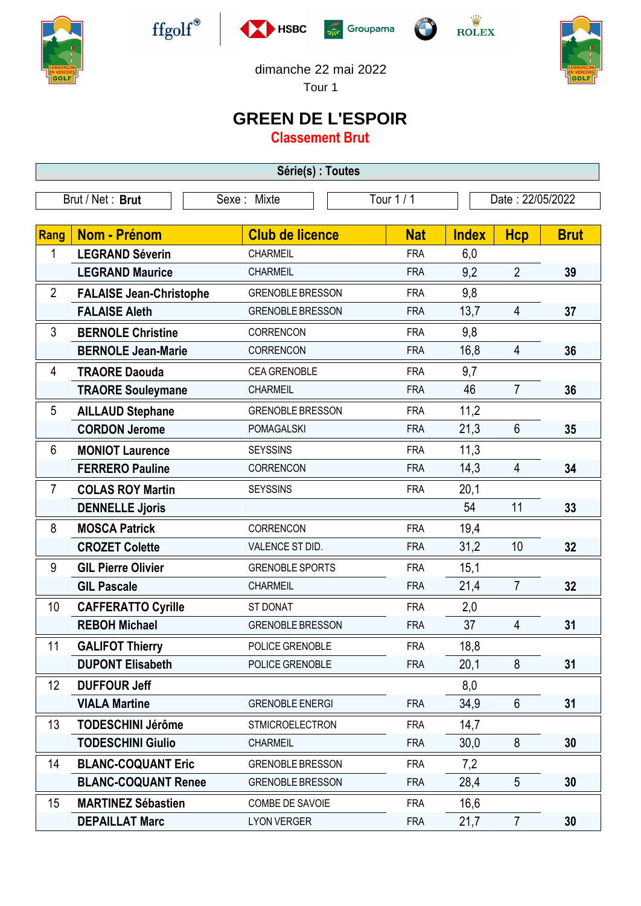











dimanche 22 mai 2022

Tour 1

## **GREEN DE L'ESPOIR**

**Classement Brut**

| Série(s) : Toutes |                                |                         |            |            |                  |                 |             |  |  |
|-------------------|--------------------------------|-------------------------|------------|------------|------------------|-----------------|-------------|--|--|
| Brut / Net: Brut  |                                | Sexe: Mixte             | Tour 1 / 1 |            | Date: 22/05/2022 |                 |             |  |  |
|                   |                                |                         |            |            |                  |                 |             |  |  |
| Rang              | Nom - Prénom                   | <b>Club de licence</b>  |            | <b>Nat</b> | <b>Index</b>     | <b>Hcp</b>      | <b>Brut</b> |  |  |
| 1                 | <b>LEGRAND Séverin</b>         | <b>CHARMEIL</b>         |            | <b>FRA</b> | 6,0              |                 |             |  |  |
|                   | <b>LEGRAND Maurice</b>         | <b>CHARMEIL</b>         |            | <b>FRA</b> | 9,2              | $\overline{2}$  | 39          |  |  |
| $\overline{2}$    | <b>FALAISE Jean-Christophe</b> | <b>GRENOBLE BRESSON</b> |            | <b>FRA</b> | 9,8              |                 |             |  |  |
|                   | <b>FALAISE Aleth</b>           | <b>GRENOBLE BRESSON</b> |            | <b>FRA</b> | 13,7             | 4               | 37          |  |  |
| 3                 | <b>BERNOLE Christine</b>       | CORRENCON               |            | <b>FRA</b> | 9,8              |                 |             |  |  |
|                   | <b>BERNOLE Jean-Marie</b>      | CORRENCON               |            | <b>FRA</b> | 16,8             | 4               | 36          |  |  |
| 4                 | <b>TRAORE Daouda</b>           | <b>CEA GRENOBLE</b>     |            | <b>FRA</b> | 9,7              |                 |             |  |  |
|                   | <b>TRAORE Souleymane</b>       | <b>CHARMEIL</b>         |            | <b>FRA</b> | 46               | $\overline{7}$  | 36          |  |  |
| 5                 | <b>AILLAUD Stephane</b>        | <b>GRENOBLE BRESSON</b> |            | <b>FRA</b> | 11,2             |                 |             |  |  |
|                   | <b>CORDON Jerome</b>           | <b>POMAGALSKI</b>       |            | <b>FRA</b> | 21,3             | 6               | 35          |  |  |
| 6                 | <b>MONIOT Laurence</b>         | <b>SEYSSINS</b>         |            | <b>FRA</b> | 11,3             |                 |             |  |  |
|                   | <b>FERRERO Pauline</b>         | CORRENCON               |            | <b>FRA</b> | 14,3             | 4               | 34          |  |  |
| $\overline{7}$    | <b>COLAS ROY Martin</b>        | <b>SEYSSINS</b>         |            | <b>FRA</b> | 20,1             |                 |             |  |  |
|                   | <b>DENNELLE Jjoris</b>         |                         |            |            | 54               | 11              | 33          |  |  |
| 8                 | <b>MOSCA Patrick</b>           | CORRENCON               |            | <b>FRA</b> | 19,4             |                 |             |  |  |
|                   | <b>CROZET Colette</b>          | VALENCE ST DID.         |            | <b>FRA</b> | 31,2             | 10              | 32          |  |  |
| 9                 | <b>GIL Pierre Olivier</b>      | <b>GRENOBLE SPORTS</b>  |            | <b>FRA</b> | 15,1             |                 |             |  |  |
|                   | <b>GIL Pascale</b>             | <b>CHARMEIL</b>         |            | <b>FRA</b> | 21,4             | $\overline{7}$  | 32          |  |  |
| 10                | <b>CAFFERATTO Cyrille</b>      | ST DONAT                |            | <b>FRA</b> | 2,0              |                 |             |  |  |
|                   | <b>REBOH Michael</b>           | <b>GRENOBLE BRESSON</b> |            | <b>FRA</b> | 37               | 4               | 31          |  |  |
| 11                | <b>GALIFOT Thierry</b>         | POLICE GRENOBLE         |            | <b>FRA</b> | 18,8             |                 |             |  |  |
|                   | <b>DUPONT Elisabeth</b>        | POLICE GRENOBLE         |            | <b>FRA</b> | 20,1             | 8               | 31          |  |  |
| 12                | <b>DUFFOUR Jeff</b>            |                         |            |            | 8,0              |                 |             |  |  |
|                   | <b>VIALA Martine</b>           | <b>GRENOBLE ENERGI</b>  |            | <b>FRA</b> | 34,9             | 6               | 31          |  |  |
| 13                | <b>TODESCHINI Jérôme</b>       | <b>STMICROELECTRON</b>  |            | <b>FRA</b> | 14,7             |                 |             |  |  |
|                   | <b>TODESCHINI Giulio</b>       | <b>CHARMEIL</b>         |            | <b>FRA</b> | 30,0             | 8               | 30          |  |  |
| 14                | <b>BLANC-COQUANT Eric</b>      | <b>GRENOBLE BRESSON</b> |            | <b>FRA</b> | 7,2              |                 |             |  |  |
|                   | <b>BLANC-COQUANT Renee</b>     | <b>GRENOBLE BRESSON</b> |            | <b>FRA</b> | 28,4             | $5\phantom{.0}$ | 30          |  |  |
| 15                | <b>MARTINEZ Sébastien</b>      | COMBE DE SAVOIE         |            | <b>FRA</b> | 16,6             |                 |             |  |  |
|                   | <b>DEPAILLAT Marc</b>          | <b>LYON VERGER</b>      |            | <b>FRA</b> | 21,7             | $\overline{7}$  | 30          |  |  |